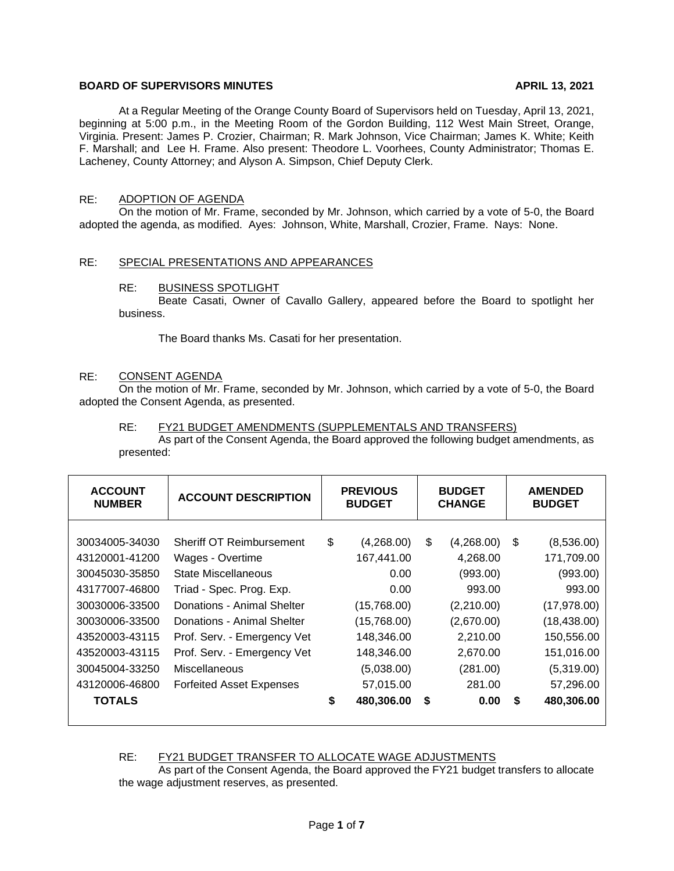## **BOARD OF SUPERVISORS MINUTES APRIL 13, 2021**

At a Regular Meeting of the Orange County Board of Supervisors held on Tuesday, April 13, 2021, beginning at 5:00 p.m., in the Meeting Room of the Gordon Building, 112 West Main Street, Orange, Virginia. Present: James P. Crozier, Chairman; R. Mark Johnson, Vice Chairman; James K. White; Keith F. Marshall; and Lee H. Frame. Also present: Theodore L. Voorhees, County Administrator; Thomas E. Lacheney, County Attorney; and Alyson A. Simpson, Chief Deputy Clerk.

## RE: ADOPTION OF AGENDA

On the motion of Mr. Frame, seconded by Mr. Johnson, which carried by a vote of 5-0, the Board adopted the agenda, as modified. Ayes: Johnson, White, Marshall, Crozier, Frame. Nays: None.

### RE: SPECIAL PRESENTATIONS AND APPEARANCES

### RE: BUSINESS SPOTLIGHT

Beate Casati, Owner of Cavallo Gallery, appeared before the Board to spotlight her business.

The Board thanks Ms. Casati for her presentation.

#### RE: CONSENT AGENDA

On the motion of Mr. Frame, seconded by Mr. Johnson, which carried by a vote of 5-0, the Board adopted the Consent Agenda, as presented.

#### RE: FY21 BUDGET AMENDMENTS (SUPPLEMENTALS AND TRANSFERS)

As part of the Consent Agenda, the Board approved the following budget amendments, as presented:

| <b>ACCOUNT</b><br><b>NUMBER</b> | <b>ACCOUNT DESCRIPTION</b>      | <b>PREVIOUS</b><br><b>BUDGET</b> |             | <b>BUDGET</b><br><b>CHANGE</b> |            | <b>AMENDED</b><br><b>BUDGET</b> |              |
|---------------------------------|---------------------------------|----------------------------------|-------------|--------------------------------|------------|---------------------------------|--------------|
| 30034005-34030                  | <b>Sheriff OT Reimbursement</b> | \$                               | (4,268.00)  | \$                             | (4,268.00) | - \$                            | (8,536.00)   |
| 43120001-41200                  | Wages - Overtime                |                                  | 167,441.00  |                                | 4,268.00   |                                 | 171,709.00   |
| 30045030-35850                  | State Miscellaneous             |                                  | 0.00        |                                | (993.00)   |                                 | (993.00)     |
| 43177007-46800                  | Triad - Spec. Prog. Exp.        |                                  | 0.00        |                                | 993.00     |                                 | 993.00       |
| 30030006-33500                  | Donations - Animal Shelter      |                                  | (15,768.00) |                                | (2,210.00) |                                 | (17, 978.00) |
| 30030006-33500                  | Donations - Animal Shelter      |                                  | (15,768.00) |                                | (2,670.00) |                                 | (18, 438.00) |
| 43520003-43115                  | Prof. Serv. - Emergency Vet     |                                  | 148,346.00  |                                | 2,210.00   |                                 | 150,556.00   |
| 43520003-43115                  | Prof. Serv. - Emergency Vet     |                                  | 148,346.00  |                                | 2,670.00   |                                 | 151,016.00   |
| 30045004-33250                  | Miscellaneous                   |                                  | (5,038.00)  |                                | (281.00)   |                                 | (5,319.00)   |
| 43120006-46800                  | <b>Forfeited Asset Expenses</b> |                                  | 57,015.00   |                                | 281.00     |                                 | 57,296.00    |
| <b>TOTALS</b>                   |                                 | \$                               | 480,306.00  | \$                             | 0.00       | S.                              | 480,306.00   |
|                                 |                                 |                                  |             |                                |            |                                 |              |

#### RE: FY21 BUDGET TRANSFER TO ALLOCATE WAGE ADJUSTMENTS

As part of the Consent Agenda, the Board approved the FY21 budget transfers to allocate the wage adjustment reserves, as presented.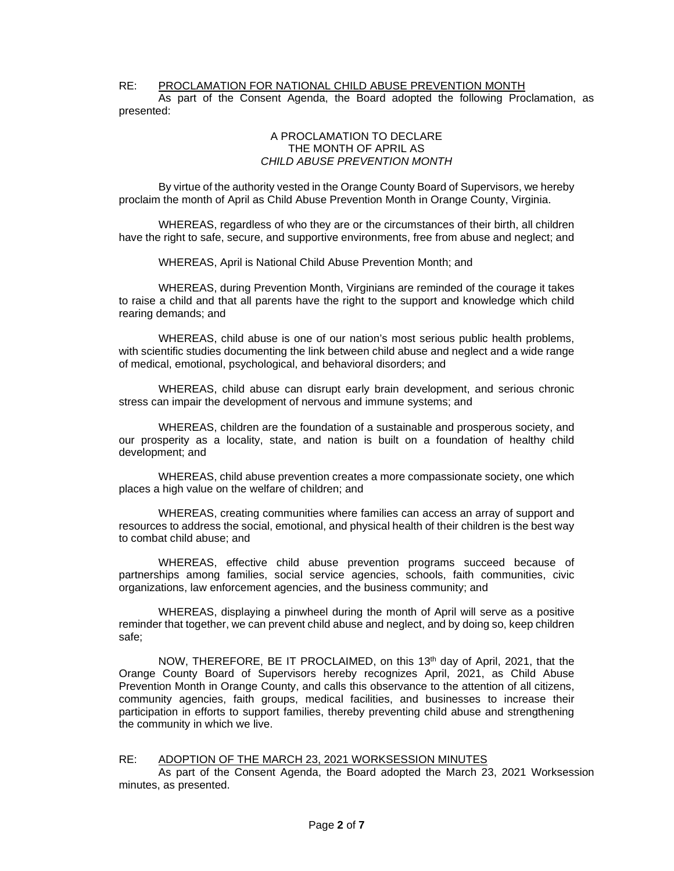#### RE: PROCLAMATION FOR NATIONAL CHILD ABUSE PREVENTION MONTH

As part of the Consent Agenda, the Board adopted the following Proclamation, as presented:

#### A PROCLAMATION TO DECLARE THE MONTH OF APRIL AS *CHILD ABUSE PREVENTION MONTH*

By virtue of the authority vested in the Orange County Board of Supervisors, we hereby proclaim the month of April as Child Abuse Prevention Month in Orange County, Virginia.

WHEREAS, regardless of who they are or the circumstances of their birth, all children have the right to safe, secure, and supportive environments, free from abuse and neglect; and

WHEREAS, April is National Child Abuse Prevention Month; and

WHEREAS, during Prevention Month, Virginians are reminded of the courage it takes to raise a child and that all parents have the right to the support and knowledge which child rearing demands; and

WHEREAS, child abuse is one of our nation's most serious public health problems, with scientific studies documenting the link between child abuse and neglect and a wide range of medical, emotional, psychological, and behavioral disorders; and

WHEREAS, child abuse can disrupt early brain development, and serious chronic stress can impair the development of nervous and immune systems; and

WHEREAS, children are the foundation of a sustainable and prosperous society, and our prosperity as a locality, state, and nation is built on a foundation of healthy child development; and

WHEREAS, child abuse prevention creates a more compassionate society, one which places a high value on the welfare of children; and

WHEREAS, creating communities where families can access an array of support and resources to address the social, emotional, and physical health of their children is the best way to combat child abuse; and

WHEREAS, effective child abuse prevention programs succeed because of partnerships among families, social service agencies, schools, faith communities, civic organizations, law enforcement agencies, and the business community; and

WHEREAS, displaying a pinwheel during the month of April will serve as a positive reminder that together, we can prevent child abuse and neglect, and by doing so, keep children safe;

NOW, THEREFORE, BE IT PROCLAIMED, on this 13<sup>th</sup> day of April, 2021, that the Orange County Board of Supervisors hereby recognizes April, 2021, as Child Abuse Prevention Month in Orange County, and calls this observance to the attention of all citizens, community agencies, faith groups, medical facilities, and businesses to increase their participation in efforts to support families, thereby preventing child abuse and strengthening the community in which we live.

#### RE: ADOPTION OF THE MARCH 23, 2021 WORKSESSION MINUTES

As part of the Consent Agenda, the Board adopted the March 23, 2021 Worksession minutes, as presented.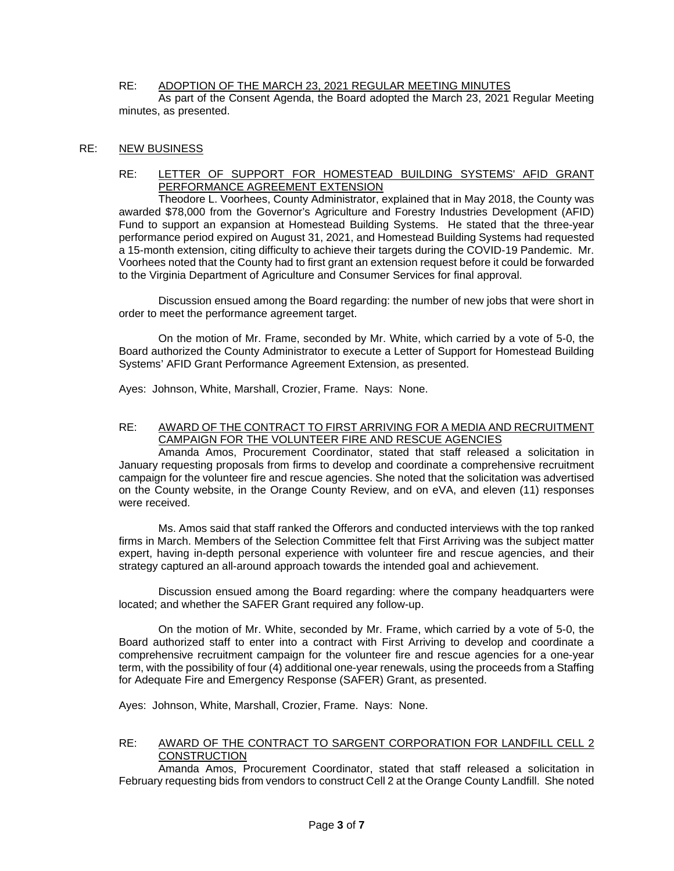### RE: ADOPTION OF THE MARCH 23, 2021 REGULAR MEETING MINUTES

As part of the Consent Agenda, the Board adopted the March 23, 2021 Regular Meeting minutes, as presented.

### RE: NEW BUSINESS

### RE: LETTER OF SUPPORT FOR HOMESTEAD BUILDING SYSTEMS' AFID GRANT PERFORMANCE AGREEMENT EXTENSION

Theodore L. Voorhees, County Administrator, explained that in May 2018, the County was awarded \$78,000 from the Governor's Agriculture and Forestry Industries Development (AFID) Fund to support an expansion at Homestead Building Systems. He stated that the three-year performance period expired on August 31, 2021, and Homestead Building Systems had requested a 15-month extension, citing difficulty to achieve their targets during the COVID-19 Pandemic. Mr. Voorhees noted that the County had to first grant an extension request before it could be forwarded to the Virginia Department of Agriculture and Consumer Services for final approval.

Discussion ensued among the Board regarding: the number of new jobs that were short in order to meet the performance agreement target.

On the motion of Mr. Frame, seconded by Mr. White, which carried by a vote of 5-0, the Board authorized the County Administrator to execute a Letter of Support for Homestead Building Systems' AFID Grant Performance Agreement Extension, as presented.

Ayes: Johnson, White, Marshall, Crozier, Frame. Nays: None.

### RE: AWARD OF THE CONTRACT TO FIRST ARRIVING FOR A MEDIA AND RECRUITMENT CAMPAIGN FOR THE VOLUNTEER FIRE AND RESCUE AGENCIES

Amanda Amos, Procurement Coordinator, stated that staff released a solicitation in January requesting proposals from firms to develop and coordinate a comprehensive recruitment campaign for the volunteer fire and rescue agencies. She noted that the solicitation was advertised on the County website, in the Orange County Review, and on eVA, and eleven (11) responses were received.

Ms. Amos said that staff ranked the Offerors and conducted interviews with the top ranked firms in March. Members of the Selection Committee felt that First Arriving was the subject matter expert, having in-depth personal experience with volunteer fire and rescue agencies, and their strategy captured an all-around approach towards the intended goal and achievement.

Discussion ensued among the Board regarding: where the company headquarters were located; and whether the SAFER Grant required any follow-up.

On the motion of Mr. White, seconded by Mr. Frame, which carried by a vote of 5-0, the Board authorized staff to enter into a contract with First Arriving to develop and coordinate a comprehensive recruitment campaign for the volunteer fire and rescue agencies for a one-year term, with the possibility of four (4) additional one-year renewals, using the proceeds from a Staffing for Adequate Fire and Emergency Response (SAFER) Grant, as presented.

Ayes: Johnson, White, Marshall, Crozier, Frame. Nays: None.

### RE: AWARD OF THE CONTRACT TO SARGENT CORPORATION FOR LANDFILL CELL 2 **CONSTRUCTION**

Amanda Amos, Procurement Coordinator, stated that staff released a solicitation in February requesting bids from vendors to construct Cell 2 at the Orange County Landfill. She noted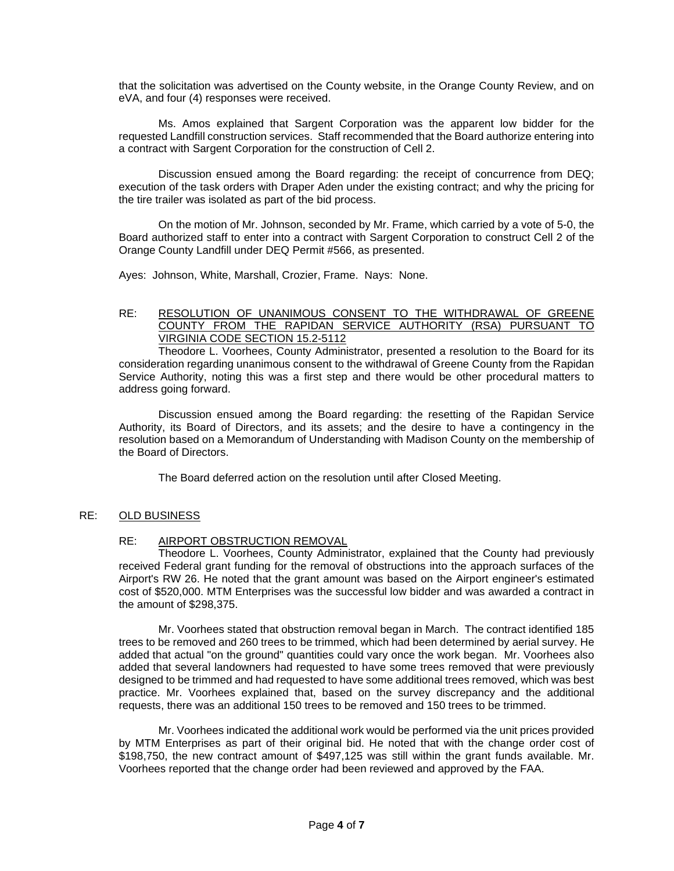that the solicitation was advertised on the County website, in the Orange County Review, and on eVA, and four (4) responses were received.

Ms. Amos explained that Sargent Corporation was the apparent low bidder for the requested Landfill construction services. Staff recommended that the Board authorize entering into a contract with Sargent Corporation for the construction of Cell 2.

Discussion ensued among the Board regarding: the receipt of concurrence from DEQ; execution of the task orders with Draper Aden under the existing contract; and why the pricing for the tire trailer was isolated as part of the bid process.

On the motion of Mr. Johnson, seconded by Mr. Frame, which carried by a vote of 5-0, the Board authorized staff to enter into a contract with Sargent Corporation to construct Cell 2 of the Orange County Landfill under DEQ Permit #566, as presented.

Ayes: Johnson, White, Marshall, Crozier, Frame. Nays: None.

## RE: RESOLUTION OF UNANIMOUS CONSENT TO THE WITHDRAWAL OF GREENE COUNTY FROM THE RAPIDAN SERVICE AUTHORITY (RSA) PURSUANT TO VIRGINIA CODE SECTION 15.2-5112

Theodore L. Voorhees, County Administrator, presented a resolution to the Board for its consideration regarding unanimous consent to the withdrawal of Greene County from the Rapidan Service Authority, noting this was a first step and there would be other procedural matters to address going forward.

Discussion ensued among the Board regarding: the resetting of the Rapidan Service Authority, its Board of Directors, and its assets; and the desire to have a contingency in the resolution based on a Memorandum of Understanding with Madison County on the membership of the Board of Directors.

The Board deferred action on the resolution until after Closed Meeting.

### RE: OLD BUSINESS

### RE: AIRPORT OBSTRUCTION REMOVAL

Theodore L. Voorhees, County Administrator, explained that the County had previously received Federal grant funding for the removal of obstructions into the approach surfaces of the Airport's RW 26. He noted that the grant amount was based on the Airport engineer's estimated cost of \$520,000. MTM Enterprises was the successful low bidder and was awarded a contract in the amount of \$298,375.

Mr. Voorhees stated that obstruction removal began in March. The contract identified 185 trees to be removed and 260 trees to be trimmed, which had been determined by aerial survey. He added that actual "on the ground" quantities could vary once the work began. Mr. Voorhees also added that several landowners had requested to have some trees removed that were previously designed to be trimmed and had requested to have some additional trees removed, which was best practice. Mr. Voorhees explained that, based on the survey discrepancy and the additional requests, there was an additional 150 trees to be removed and 150 trees to be trimmed.

Mr. Voorhees indicated the additional work would be performed via the unit prices provided by MTM Enterprises as part of their original bid. He noted that with the change order cost of \$198,750, the new contract amount of \$497,125 was still within the grant funds available. Mr. Voorhees reported that the change order had been reviewed and approved by the FAA.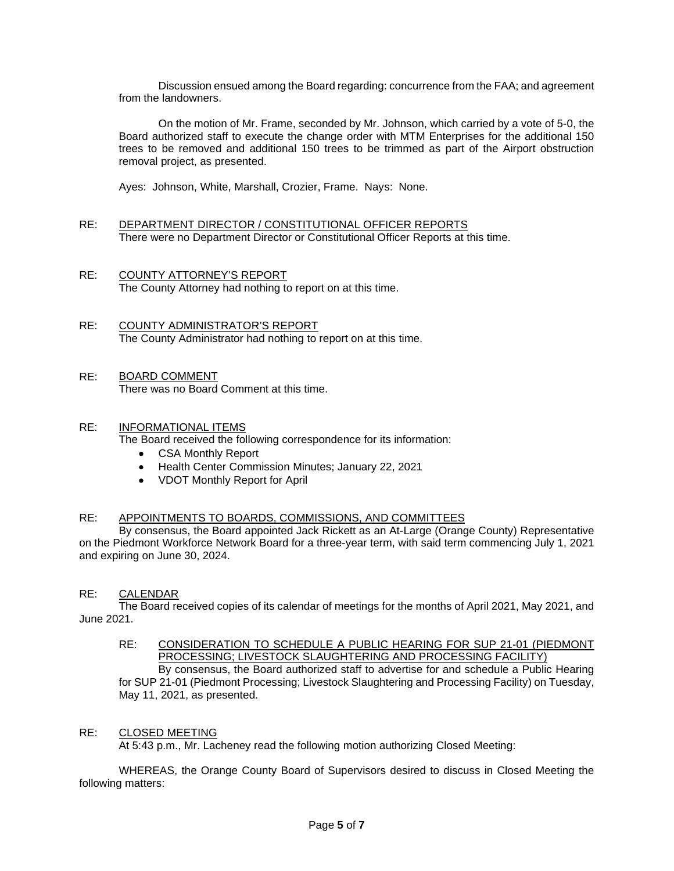Discussion ensued among the Board regarding: concurrence from the FAA; and agreement from the landowners.

On the motion of Mr. Frame, seconded by Mr. Johnson, which carried by a vote of 5-0, the Board authorized staff to execute the change order with MTM Enterprises for the additional 150 trees to be removed and additional 150 trees to be trimmed as part of the Airport obstruction removal project, as presented.

Ayes: Johnson, White, Marshall, Crozier, Frame. Nays: None.

- RE: DEPARTMENT DIRECTOR / CONSTITUTIONAL OFFICER REPORTS There were no Department Director or Constitutional Officer Reports at this time.
- RE: COUNTY ATTORNEY'S REPORT The County Attorney had nothing to report on at this time.
- RE: COUNTY ADMINISTRATOR'S REPORT The County Administrator had nothing to report on at this time.
- RE: BOARD COMMENT There was no Board Comment at this time.

### RE: INFORMATIONAL ITEMS

The Board received the following correspondence for its information:

- CSA Monthly Report
- Health Center Commission Minutes; January 22, 2021
- VDOT Monthly Report for April

### RE: APPOINTMENTS TO BOARDS, COMMISSIONS, AND COMMITTEES

By consensus, the Board appointed Jack Rickett as an At-Large (Orange County) Representative on the Piedmont Workforce Network Board for a three-year term, with said term commencing July 1, 2021 and expiring on June 30, 2024.

### RE: CALENDAR

The Board received copies of its calendar of meetings for the months of April 2021, May 2021, and June 2021.

## RE: CONSIDERATION TO SCHEDULE A PUBLIC HEARING FOR SUP 21-01 (PIEDMONT PROCESSING; LIVESTOCK SLAUGHTERING AND PROCESSING FACILITY)

By consensus, the Board authorized staff to advertise for and schedule a Public Hearing for SUP 21-01 (Piedmont Processing; Livestock Slaughtering and Processing Facility) on Tuesday, May 11, 2021, as presented.

### RE: CLOSED MEETING

At 5:43 p.m., Mr. Lacheney read the following motion authorizing Closed Meeting:

WHEREAS, the Orange County Board of Supervisors desired to discuss in Closed Meeting the following matters: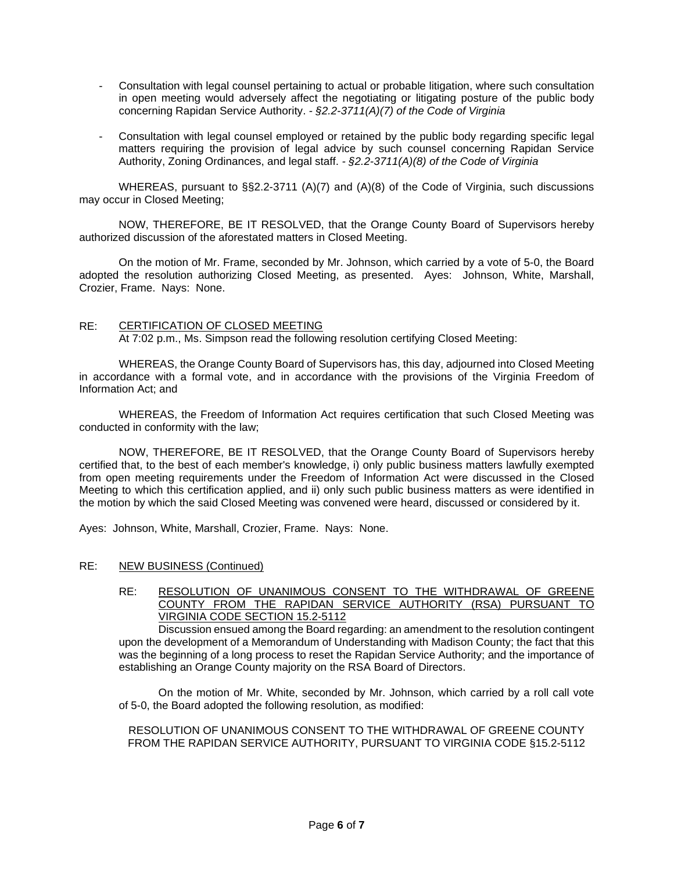- Consultation with legal counsel pertaining to actual or probable litigation, where such consultation in open meeting would adversely affect the negotiating or litigating posture of the public body concerning Rapidan Service Authority. *- §2.2-3711(A)(7) of the Code of Virginia*
- Consultation with legal counsel employed or retained by the public body regarding specific legal matters requiring the provision of legal advice by such counsel concerning Rapidan Service Authority, Zoning Ordinances, and legal staff. *- §2.2-3711(A)(8) of the Code of Virginia*

WHEREAS, pursuant to §§2.2-3711 (A)(7) and (A)(8) of the Code of Virginia, such discussions may occur in Closed Meeting;

NOW, THEREFORE, BE IT RESOLVED, that the Orange County Board of Supervisors hereby authorized discussion of the aforestated matters in Closed Meeting.

On the motion of Mr. Frame, seconded by Mr. Johnson, which carried by a vote of 5-0, the Board adopted the resolution authorizing Closed Meeting, as presented. Ayes: Johnson, White, Marshall, Crozier, Frame. Nays: None.

## RE: CERTIFICATION OF CLOSED MEETING

At 7:02 p.m., Ms. Simpson read the following resolution certifying Closed Meeting:

WHEREAS, the Orange County Board of Supervisors has, this day, adjourned into Closed Meeting in accordance with a formal vote, and in accordance with the provisions of the Virginia Freedom of Information Act; and

WHEREAS, the Freedom of Information Act requires certification that such Closed Meeting was conducted in conformity with the law;

NOW, THEREFORE, BE IT RESOLVED, that the Orange County Board of Supervisors hereby certified that, to the best of each member's knowledge, i) only public business matters lawfully exempted from open meeting requirements under the Freedom of Information Act were discussed in the Closed Meeting to which this certification applied, and ii) only such public business matters as were identified in the motion by which the said Closed Meeting was convened were heard, discussed or considered by it.

Ayes: Johnson, White, Marshall, Crozier, Frame. Nays: None.

### RE: NEW BUSINESS (Continued)

RE: RESOLUTION OF UNANIMOUS CONSENT TO THE WITHDRAWAL OF GREENE COUNTY FROM THE RAPIDAN SERVICE AUTHORITY (RSA) PURSUANT TO VIRGINIA CODE SECTION 15.2-5112

Discussion ensued among the Board regarding: an amendment to the resolution contingent upon the development of a Memorandum of Understanding with Madison County; the fact that this was the beginning of a long process to reset the Rapidan Service Authority; and the importance of establishing an Orange County majority on the RSA Board of Directors.

On the motion of Mr. White, seconded by Mr. Johnson, which carried by a roll call vote of 5-0, the Board adopted the following resolution, as modified:

RESOLUTION OF UNANIMOUS CONSENT TO THE WITHDRAWAL OF GREENE COUNTY FROM THE RAPIDAN SERVICE AUTHORITY, PURSUANT TO VIRGINIA CODE §15.2-5112